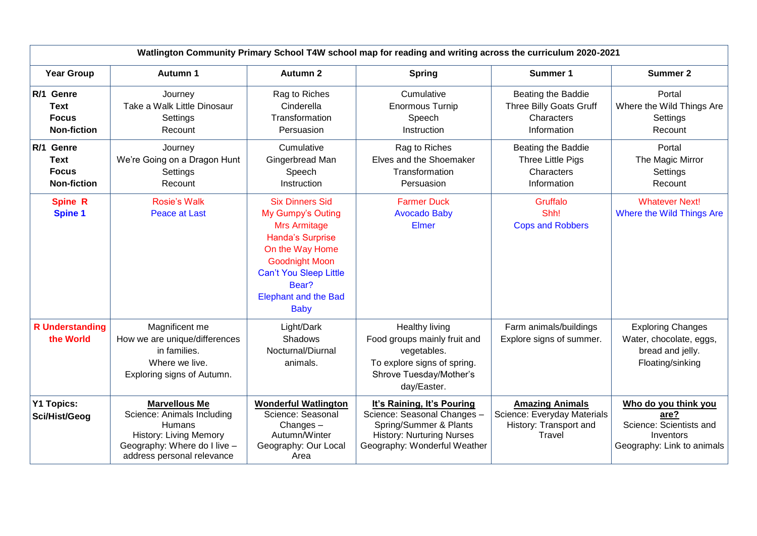| Watlington Community Primary School T4W school map for reading and writing across the curriculum 2020-2021 |                                                                                                                                                             |                                                                                                                                                                                                                                   |                                                                                                                                                         |                                                                                           |                                                                                                    |  |  |
|------------------------------------------------------------------------------------------------------------|-------------------------------------------------------------------------------------------------------------------------------------------------------------|-----------------------------------------------------------------------------------------------------------------------------------------------------------------------------------------------------------------------------------|---------------------------------------------------------------------------------------------------------------------------------------------------------|-------------------------------------------------------------------------------------------|----------------------------------------------------------------------------------------------------|--|--|
| <b>Year Group</b>                                                                                          | <b>Autumn 1</b>                                                                                                                                             | <b>Autumn 2</b>                                                                                                                                                                                                                   | <b>Spring</b>                                                                                                                                           | Summer 1                                                                                  | <b>Summer 2</b>                                                                                    |  |  |
| R/1 Genre<br><b>Text</b><br><b>Focus</b><br><b>Non-fiction</b>                                             | Journey<br>Take a Walk Little Dinosaur<br>Settings<br>Recount                                                                                               | Rag to Riches<br>Cinderella<br>Transformation<br>Persuasion                                                                                                                                                                       | Cumulative<br><b>Enormous Turnip</b><br>Speech<br>Instruction                                                                                           | Beating the Baddie<br>Three Billy Goats Gruff<br>Characters<br>Information                | Portal<br>Where the Wild Things Are<br>Settings<br>Recount                                         |  |  |
| R/1 Genre<br><b>Text</b><br><b>Focus</b><br><b>Non-fiction</b>                                             | Journey<br>We're Going on a Dragon Hunt<br>Settings<br>Recount                                                                                              | Cumulative<br>Gingerbread Man<br>Speech<br>Instruction                                                                                                                                                                            | Rag to Riches<br>Elves and the Shoemaker<br>Transformation<br>Persuasion                                                                                | Beating the Baddie<br>Three Little Pigs<br>Characters<br>Information                      | Portal<br>The Magic Mirror<br>Settings<br>Recount                                                  |  |  |
| <b>Spine R</b><br><b>Spine 1</b>                                                                           | <b>Rosie's Walk</b><br><b>Peace at Last</b>                                                                                                                 | <b>Six Dinners Sid</b><br>My Gumpy's Outing<br><b>Mrs Armitage</b><br><b>Handa's Surprise</b><br>On the Way Home<br><b>Goodnight Moon</b><br><b>Can't You Sleep Little</b><br>Bear?<br><b>Elephant and the Bad</b><br><b>Baby</b> | <b>Farmer Duck</b><br><b>Avocado Baby</b><br><b>Elmer</b>                                                                                               | Gruffalo<br>Shh!<br><b>Cops and Robbers</b>                                               | <b>Whatever Next!</b><br>Where the Wild Things Are                                                 |  |  |
| <b>R</b> Understanding<br>the World                                                                        | Magnificent me<br>How we are unique/differences<br>in families.<br>Where we live.<br>Exploring signs of Autumn.                                             | Light/Dark<br>Shadows<br>Nocturnal/Diurnal<br>animals.                                                                                                                                                                            | Healthy living<br>Food groups mainly fruit and<br>vegetables.<br>To explore signs of spring.<br>Shrove Tuesday/Mother's<br>day/Easter.                  | Farm animals/buildings<br>Explore signs of summer.                                        | <b>Exploring Changes</b><br>Water, chocolate, eggs,<br>bread and jelly.<br>Floating/sinking        |  |  |
| <b>Y1 Topics:</b><br>Sci/Hist/Geog                                                                         | <b>Marvellous Me</b><br>Science: Animals Including<br>Humans<br><b>History: Living Memory</b><br>Geography: Where do I live -<br>address personal relevance | <b>Wonderful Watlington</b><br>Science: Seasonal<br>Changes $-$<br>Autumn/Winter<br>Geography: Our Local<br>Area                                                                                                                  | It's Raining, It's Pouring<br>Science: Seasonal Changes -<br>Spring/Summer & Plants<br><b>History: Nurturing Nurses</b><br>Geography: Wonderful Weather | <b>Amazing Animals</b><br>Science: Everyday Materials<br>History: Transport and<br>Travel | Who do you think you<br>are?<br>Science: Scientists and<br>Inventors<br>Geography: Link to animals |  |  |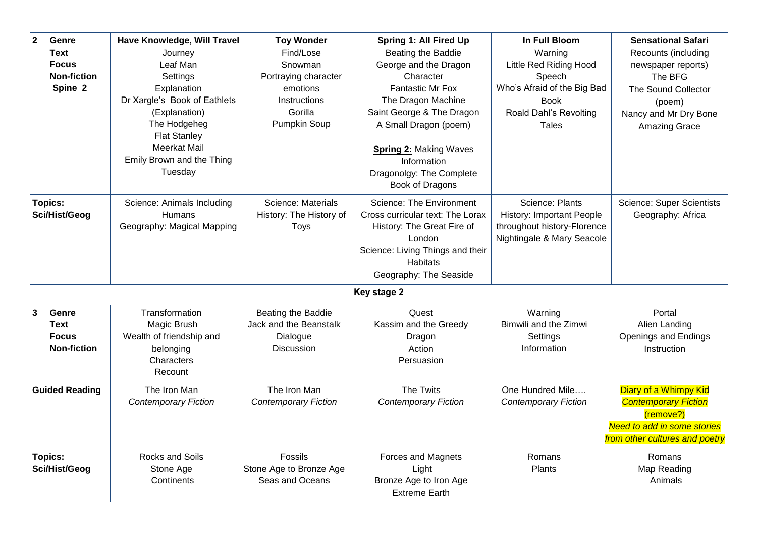| $\overline{\mathbf{2}}$<br>Genre<br><b>Text</b><br><b>Focus</b><br><b>Non-fiction</b><br>Spine 2 | Have Knowledge, Will Travel<br>Journey<br>Leaf Man<br>Settings<br>Explanation<br>Dr Xargle's Book of Eathlets<br>(Explanation)<br>The Hodgeheg<br><b>Flat Stanley</b><br><b>Meerkat Mail</b><br>Emily Brown and the Thing<br>Tuesday | <b>Toy Wonder</b><br>Find/Lose<br>Snowman<br>Portraying character<br>emotions<br>Instructions<br>Gorilla<br>Pumpkin Soup | <b>Spring 1: All Fired Up</b><br>Beating the Baddie<br>George and the Dragon<br>Character<br><b>Fantastic Mr Fox</b><br>The Dragon Machine<br>Saint George & The Dragon<br>A Small Dragon (poem)<br><b>Spring 2: Making Waves</b><br>Information<br>Dragonolgy: The Complete<br>Book of Dragons | In Full Bloom<br>Warning<br>Little Red Riding Hood<br>Speech<br>Who's Afraid of the Big Bad<br><b>Book</b><br>Roald Dahl's Revolting<br><b>Tales</b> | <b>Sensational Safari</b><br>Recounts (including<br>newspaper reports)<br>The BFG<br>The Sound Collector<br>(poem)<br>Nancy and Mr Dry Bone<br><b>Amazing Grace</b> |  |  |
|--------------------------------------------------------------------------------------------------|--------------------------------------------------------------------------------------------------------------------------------------------------------------------------------------------------------------------------------------|--------------------------------------------------------------------------------------------------------------------------|-------------------------------------------------------------------------------------------------------------------------------------------------------------------------------------------------------------------------------------------------------------------------------------------------|------------------------------------------------------------------------------------------------------------------------------------------------------|---------------------------------------------------------------------------------------------------------------------------------------------------------------------|--|--|
| <b>Topics:</b><br>Sci/Hist/Geog                                                                  | Science: Animals Including<br>Humans<br>Geography: Magical Mapping                                                                                                                                                                   | Science: Materials<br>History: The History of<br>Toys                                                                    | Science: The Environment<br>Cross curricular text: The Lorax<br>History: The Great Fire of<br>London<br>Science: Living Things and their<br><b>Habitats</b><br>Geography: The Seaside                                                                                                           | Science: Plants<br><b>History: Important People</b><br>throughout history-Florence<br>Nightingale & Mary Seacole                                     | Science: Super Scientists<br>Geography: Africa                                                                                                                      |  |  |
| Key stage 2                                                                                      |                                                                                                                                                                                                                                      |                                                                                                                          |                                                                                                                                                                                                                                                                                                 |                                                                                                                                                      |                                                                                                                                                                     |  |  |
| $\overline{3}$<br>Genre<br><b>Text</b><br><b>Focus</b><br><b>Non-fiction</b>                     | Transformation<br>Magic Brush<br>Wealth of friendship and<br>belonging<br>Characters<br>Recount                                                                                                                                      | Beating the Baddie<br>Jack and the Beanstalk<br>Dialogue<br>Discussion                                                   | Quest<br>Kassim and the Greedy<br>Dragon<br>Action<br>Persuasion                                                                                                                                                                                                                                | Warning<br>Bimwili and the Zimwi<br>Settings<br>Information                                                                                          | Portal<br>Alien Landing<br>Openings and Endings<br>Instruction                                                                                                      |  |  |
| <b>Guided Reading</b>                                                                            | The Iron Man<br><b>Contemporary Fiction</b>                                                                                                                                                                                          | The Iron Man<br><b>Contemporary Fiction</b>                                                                              | The Twits<br><b>Contemporary Fiction</b>                                                                                                                                                                                                                                                        | One Hundred Mile<br><b>Contemporary Fiction</b>                                                                                                      | Diary of a Whimpy Kid<br><b>Contemporary Fiction</b><br>(remove?)<br><b>Need to add in some stories</b><br>from other cultures and poetry                           |  |  |
| <b>Topics:</b><br>Sci/Hist/Geog                                                                  | Rocks and Soils<br>Stone Age<br>Continents                                                                                                                                                                                           | Fossils<br>Stone Age to Bronze Age<br>Seas and Oceans                                                                    | Forces and Magnets<br>Light<br>Bronze Age to Iron Age<br><b>Extreme Earth</b>                                                                                                                                                                                                                   | Romans<br>Plants                                                                                                                                     | Romans<br>Map Reading<br>Animals                                                                                                                                    |  |  |